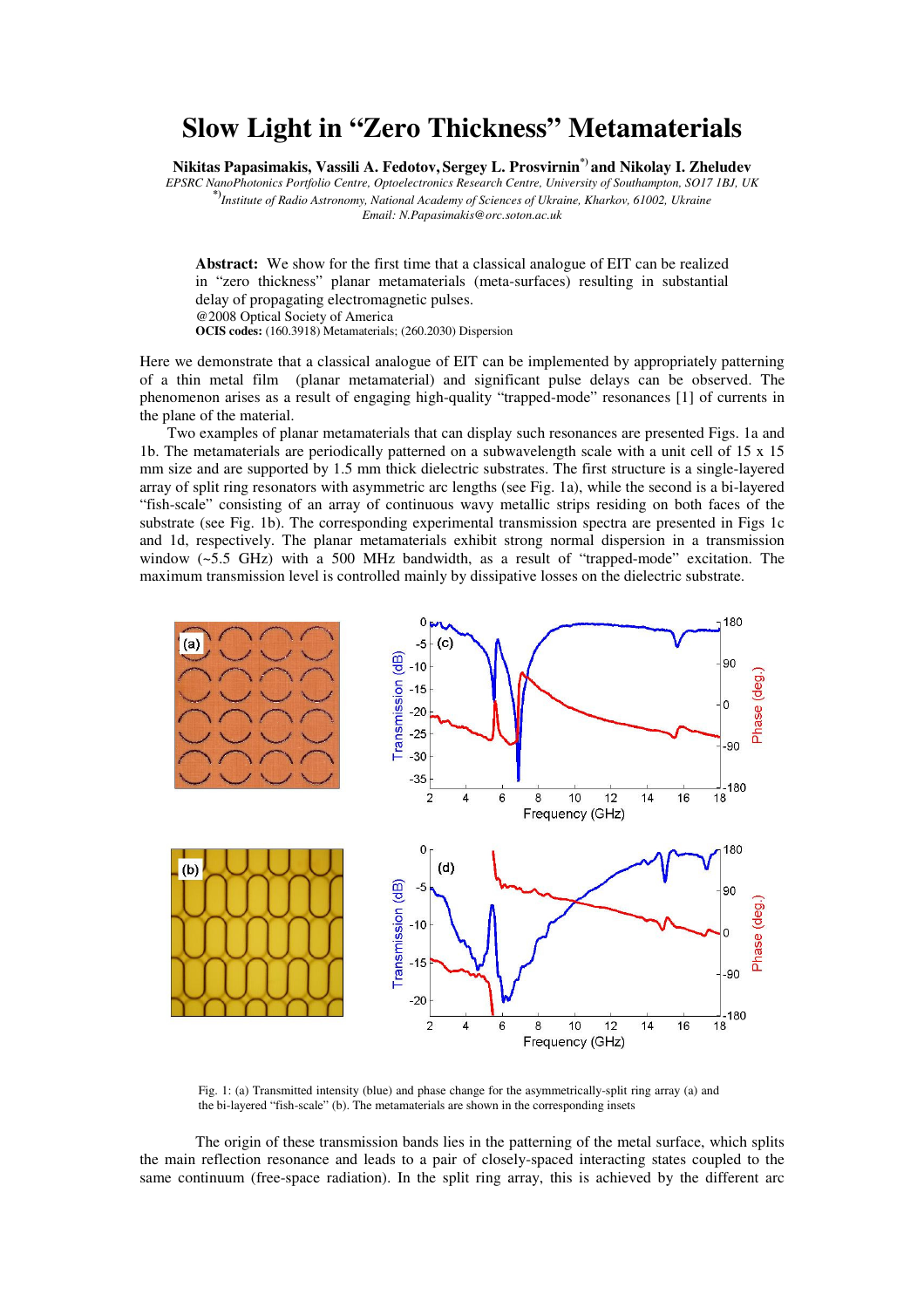## **Slow Light in "Zero Thickness" Metamaterials**

**Nikitas Papasimakis, Vassili A. Fedotov, Sergey L. Prosvirnin\*) and Nikolay I. Zheludev**

*EPSRC NanoPhotonics Portfolio Centre, Optoelectronics Research Centre, University of Southampton, SO17 1BJ, UK*  **\*)***Institute of Radio Astronomy, National Academy of Sciences of Ukraine, Kharkov, 61002, Ukraine Email: N.Papasimakis@orc.soton.ac.uk* 

**Abstract:** We show for the first time that a classical analogue of EIT can be realized in "zero thickness" planar metamaterials (meta-surfaces) resulting in substantial delay of propagating electromagnetic pulses. @2008 Optical Society of America **OCIS codes:** (160.3918) Metamaterials; (260.2030) Dispersion

Here we demonstrate that a classical analogue of EIT can be implemented by appropriately patterning of a thin metal film (planar metamaterial) and significant pulse delays can be observed. The phenomenon arises as a result of engaging high-quality "trapped-mode" resonances [1] of currents in the plane of the material.

Two examples of planar metamaterials that can display such resonances are presented Figs. 1a and 1b. The metamaterials are periodically patterned on a subwavelength scale with a unit cell of 15 x 15 mm size and are supported by 1.5 mm thick dielectric substrates. The first structure is a single-layered array of split ring resonators with asymmetric arc lengths (see Fig. 1a), while the second is a bi-layered "fish-scale" consisting of an array of continuous wavy metallic strips residing on both faces of the substrate (see Fig. 1b). The corresponding experimental transmission spectra are presented in Figs 1c and 1d, respectively. The planar metamaterials exhibit strong normal dispersion in a transmission window  $(-5.5 \text{ GHz})$  with a 500 MHz bandwidth, as a result of "trapped-mode" excitation. The maximum transmission level is controlled mainly by dissipative losses on the dielectric substrate.



Fig. 1: (a) Transmitted intensity (blue) and phase change for the asymmetrically-split ring array (a) and the bi-layered "fish-scale" (b). The metamaterials are shown in the corresponding insets

The origin of these transmission bands lies in the patterning of the metal surface, which splits the main reflection resonance and leads to a pair of closely-spaced interacting states coupled to the same continuum (free-space radiation). In the split ring array, this is achieved by the different arc